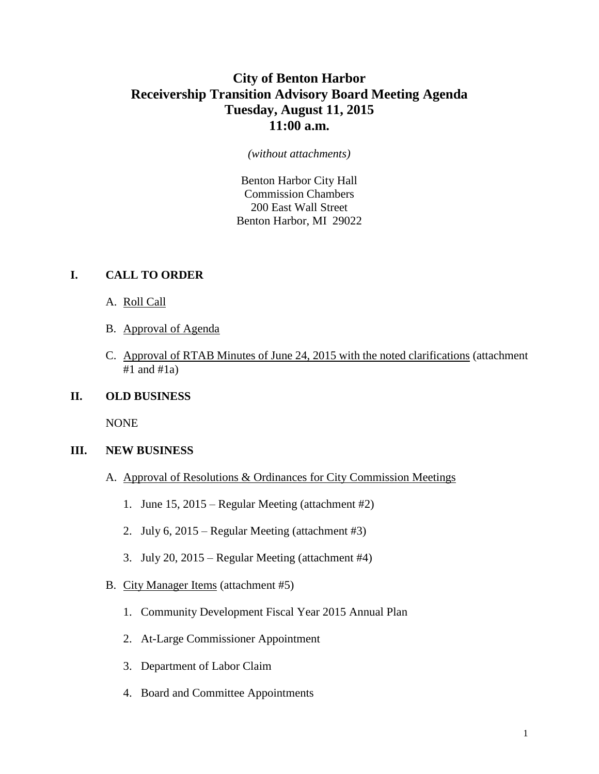# **City of Benton Harbor Receivership Transition Advisory Board Meeting Agenda Tuesday, August 11, 2015 11:00 a.m.**

#### *(without attachments)*

Benton Harbor City Hall Commission Chambers 200 East Wall Street Benton Harbor, MI 29022

#### **I. CALL TO ORDER**

- A. Roll Call
- B. Approval of Agenda
- C. Approval of RTAB Minutes of June 24, 2015 with the noted clarifications (attachment  $#1$  and  $#1a$ )

### **II. OLD BUSINESS**

NONE

#### **III. NEW BUSINESS**

- A. Approval of Resolutions & Ordinances for City Commission Meetings
	- 1. June 15, 2015 Regular Meeting (attachment #2)
	- 2. July 6, 2015 Regular Meeting (attachment #3)
	- 3. July 20, 2015 Regular Meeting (attachment #4)
- B. City Manager Items (attachment #5)
	- 1. Community Development Fiscal Year 2015 Annual Plan
	- 2. At-Large Commissioner Appointment
	- 3. Department of Labor Claim
	- 4. Board and Committee Appointments